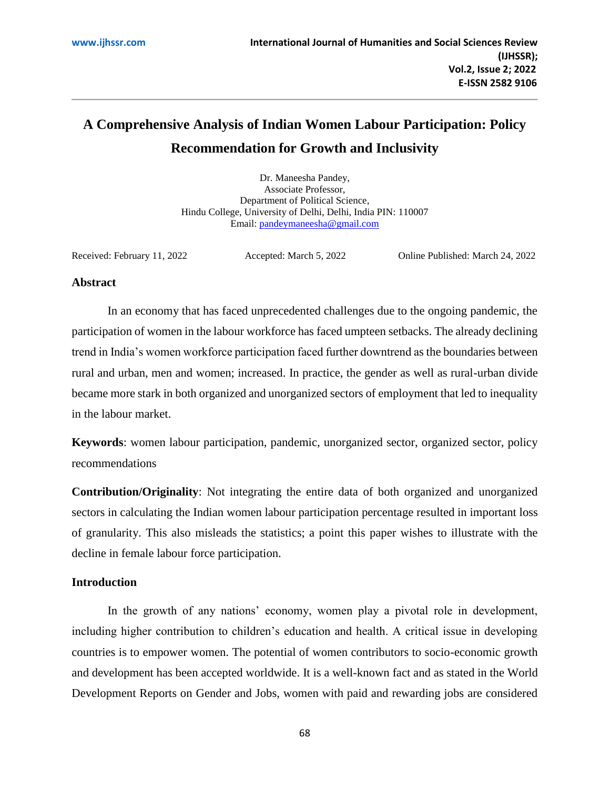# **A Comprehensive Analysis of Indian Women Labour Participation: Policy Recommendation for Growth and Inclusivity**

Dr. Maneesha Pandey, Associate Professor, Department of Political Science, Hindu College, University of Delhi, Delhi, India PIN: 110007 Email: [pandeymaneesha@gmail.com](mailto:pandeymaneesha@gmail.com)

Received: February 11, 2022 Accepted: March 5, 2022 Online Published: March 24, 2022

## **Abstract**

In an economy that has faced unprecedented challenges due to the ongoing pandemic, the participation of women in the labour workforce has faced umpteen setbacks. The already declining trend in India's women workforce participation faced further downtrend as the boundaries between rural and urban, men and women; increased. In practice, the gender as well as rural-urban divide became more stark in both organized and unorganized sectors of employment that led to inequality in the labour market.

**Keywords**: women labour participation, pandemic, unorganized sector, organized sector, policy recommendations

**Contribution/Originality**: Not integrating the entire data of both organized and unorganized sectors in calculating the Indian women labour participation percentage resulted in important loss of granularity. This also misleads the statistics; a point this paper wishes to illustrate with the decline in female labour force participation.

# **Introduction**

In the growth of any nations' economy, women play a pivotal role in development, including higher contribution to children's education and health. A critical issue in developing countries is to empower women. The potential of women contributors to socio-economic growth and development has been accepted worldwide. It is a well-known fact and as stated in the World Development Reports on Gender and Jobs, women with paid and rewarding jobs are considered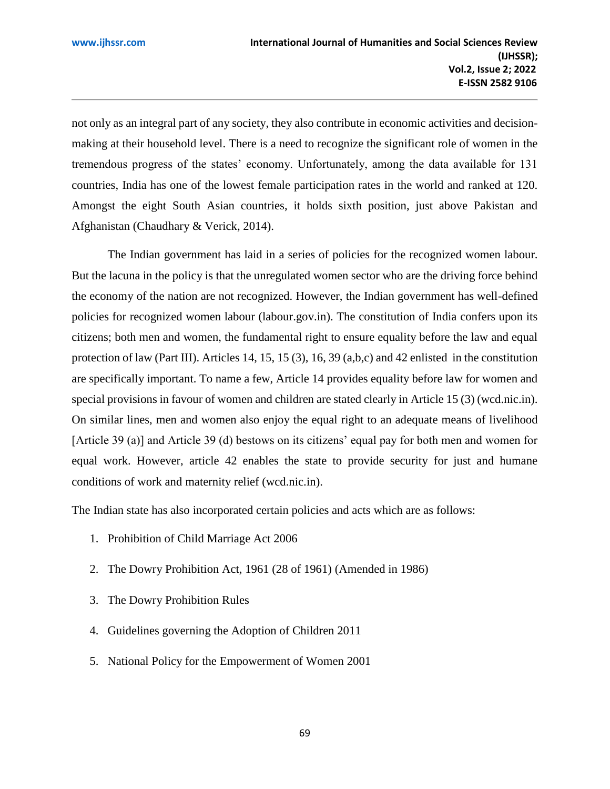not only as an integral part of any society, they also contribute in economic activities and decisionmaking at their household level. There is a need to recognize the significant role of women in the tremendous progress of the states' economy. Unfortunately, among the data available for 131 countries, India has one of the lowest female participation rates in the world and ranked at 120. Amongst the eight South Asian countries, it holds sixth position, just above Pakistan and Afghanistan (Chaudhary & Verick, 2014).

The Indian government has laid in a series of policies for the recognized women labour. But the lacuna in the policy is that the unregulated women sector who are the driving force behind the economy of the nation are not recognized. However, the Indian government has well-defined policies for recognized women labour (labour.gov.in). The constitution of India confers upon its citizens; both men and women, the fundamental right to ensure equality before the law and equal protection of law (Part III). Articles 14, 15, 15 (3), 16, 39 (a,b,c) and 42 enlisted in the constitution are specifically important. To name a few, Article 14 provides equality before law for women and special provisions in favour of women and children are stated clearly in Article 15 (3) (wcd.nic.in). On similar lines, men and women also enjoy the equal right to an adequate means of livelihood [Article 39 (a)] and Article 39 (d) bestows on its citizens' equal pay for both men and women for equal work. However, article 42 enables the state to provide security for just and humane conditions of work and maternity relief (wcd.nic.in).

The Indian state has also incorporated certain policies and acts which are as follows:

- 1. Pr[ohibition of Child Marriage Act 2006](http://wcd.nic.in/sites/default/files/cma2006.pdf)
- 2. [The Dowry Prohibition Act, 1961 \(28 of 1961\) \(Amended in 1986\)](http://ncw.nic.in/sites/default/files/THEDOWRYPROHIBITIONACT1961_0.pdf)
- 3. [The Dowry Prohibition Rules](http://www.wcd.nic.in/act/dowry-prohibition-rules)
- 4. [Guidelines governing the Adoption of Children 2011](http://www.wbja.nic.in/wbja_adm/files/Cara_Guidelines.pdf)
- 5. [National Policy for the Empowerment of Women 2001](https://wcd.nic.in/sites/default/files/National%20Policy%20for%20Empowerment%20of%20Women%202001.pdf)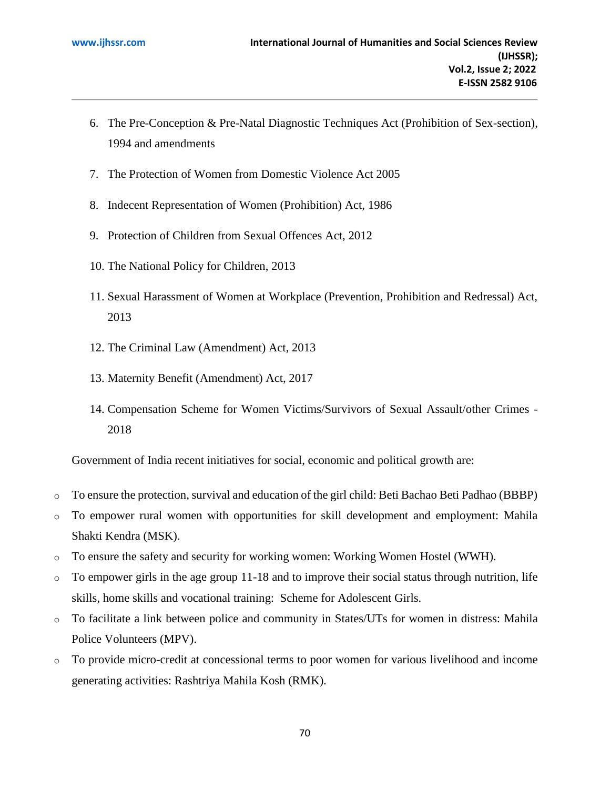- 6. [The Pre-Conception & Pre-Natal Diagnostic Techniques Act \(Prohibition of Sex-section\),](https://indiacode.nic.in/bitstream/123456789/8399/1/pre-conception-pre-natal-diagnostic-techniques-act-1994.pdf)  [1994 and amendments](https://indiacode.nic.in/bitstream/123456789/8399/1/pre-conception-pre-natal-diagnostic-techniques-act-1994.pdf)
- 7. [The Protection of Women from Domestic Violence Act 2005](http://wcd.nic.in/sites/default/files/wdvact.pdf)
- 8. [Indecent Representation of Women \(Prohibition\) Act, 1986](http://wcd.nic.in/act/indecent-representation-women)
- 9. [Protection of Children from Sexual Offences Act, 2012](http://wcd.nic.in/sites/default/files/childprotection31072012.pdf)
- 10. [The National Policy for Children,](http://wcd.nic.in/sites/default/files/npcenglish08072013.pdf) 2013
- 11. [Sexual Harassment of Women at Workplace \(Prevention, Prohibition and Redressal\) Act,](http://wcd.nic.in/act/sexual-harassment-women-workplace-preventionprohibition-and-redressal-act-2013)  [2013](http://wcd.nic.in/act/sexual-harassment-women-workplace-preventionprohibition-and-redressal-act-2013)
- 12. [The Criminal Law \(Amendment\) Act, 2013](http://ncw.nic.in/sites/default/files/The_Criminal_Law_Amendment_Act_2013_0.pdf)
- 13. [Maternity Benefit \(Amendment\) Act, 2017](http://labour.gov.in/sites/default/files/Maternity%20Benefit%20Amendment%20Act%2C2017%20.pdf)
- 14. [Compensation Scheme for Women Victims/Survivors of Sexual Assault/other Crimes -](https://wcd.nic.in/sites/default/files/Final%20VC%20Sheme_0.pdf) [2018](https://wcd.nic.in/sites/default/files/Final%20VC%20Sheme_0.pdf)

Government of India recent initiatives for social, economic and political growth are:

- o To ensure the protection, survival and education of the girl child: Beti Bachao Beti Padhao (BBBP)
- o To empower rural women with opportunities for skill development and employment: Mahila Shakti Kendra (MSK).
- o To ensure the safety and security for working women: Working Women Hostel (WWH).
- $\circ$  To empower girls in the age group 11-18 and to improve their social status through nutrition, life skills, home skills and vocational training: Scheme for Adolescent Girls.
- o To facilitate a link between police and community in States/UTs for women in distress: Mahila Police Volunteers (MPV).
- o To provide micro-credit at concessional terms to poor women for various livelihood and income generating activities: Rashtriya Mahila Kosh (RMK).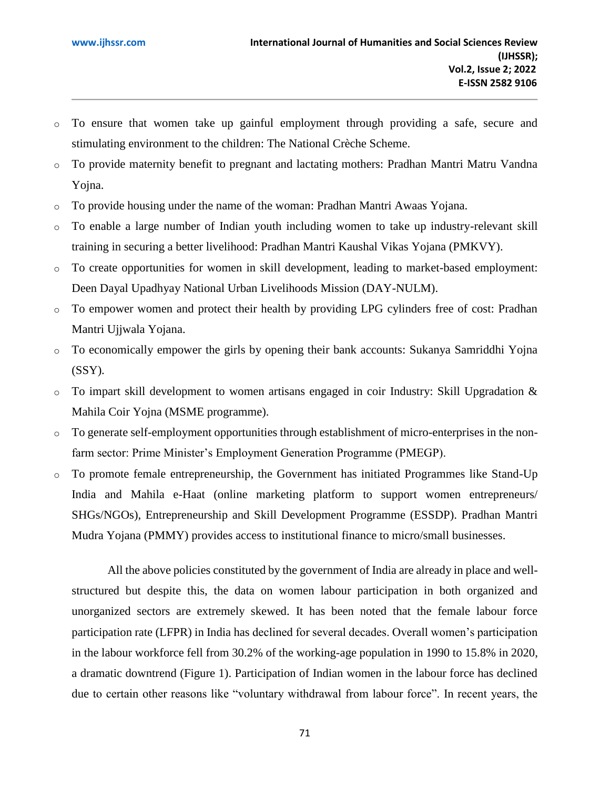- o To ensure that women take up gainful employment through providing a safe, secure and stimulating environment to the children: The National Crèche Scheme.
- o To provide maternity benefit to pregnant and lactating mothers: Pradhan Mantri Matru Vandna Yojna.
- o To provide housing under the name of the woman: Pradhan Mantri Awaas Yojana.
- o To enable a large number of Indian youth including women to take up industry-relevant skill training in securing a better livelihood: Pradhan Mantri Kaushal Vikas Yojana (PMKVY).
- o To create opportunities for women in skill development, leading to market-based employment: Deen Dayal Upadhyay National Urban Livelihoods Mission (DAY-NULM).
- o To empower women and protect their health by providing LPG cylinders free of cost: Pradhan Mantri Ujjwala Yojana.
- o To economically empower the girls by opening their bank accounts: Sukanya Samriddhi Yojna (SSY).
- $\circ$  To impart skill development to women artisans engaged in coir Industry: Skill Upgradation & Mahila Coir Yojna (MSME programme).
- o To generate self-employment opportunities through establishment of micro-enterprises in the nonfarm sector: Prime Minister's Employment Generation Programme (PMEGP).
- o To promote female entrepreneurship, the Government has initiated Programmes like Stand-Up India and Mahila e-Haat (online marketing platform to support women entrepreneurs/ SHGs/NGOs), Entrepreneurship and Skill Development Programme (ESSDP). Pradhan Mantri Mudra Yojana (PMMY) provides access to institutional finance to micro/small businesses.

All the above policies constituted by the government of India are already in place and wellstructured but despite this, the data on women labour participation in both organized and unorganized sectors are extremely skewed. It has been noted that the female labour force participation rate (LFPR) in India has declined for several decades. Overall women's participation in the labour workforce fell from 30.2% of the working-age population in 1990 to 15.8% in 2020, a dramatic downtrend (Figure 1). Participation of Indian women in the labour force has declined due to certain other reasons like "voluntary withdrawal from labour force". In recent years, the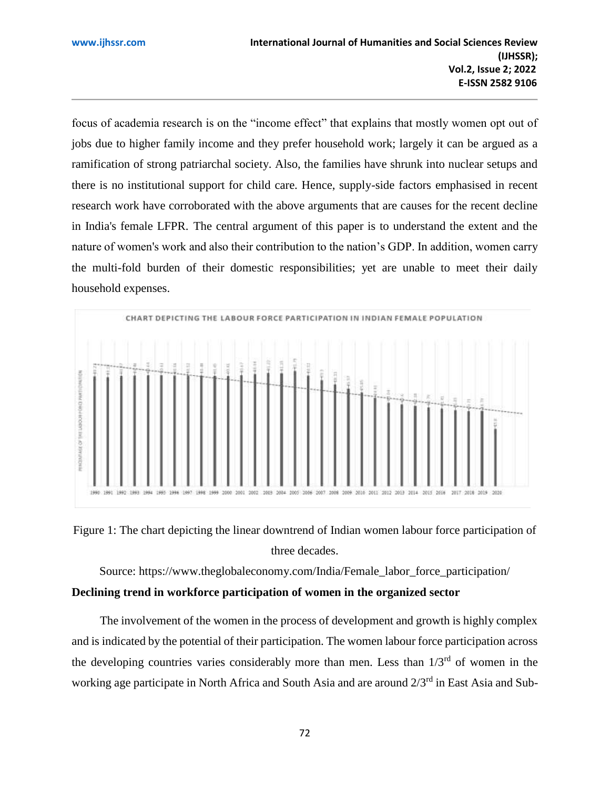focus of academia research is on the "income effect" that explains that mostly women opt out of jobs due to higher family income and they prefer household work; largely it can be argued as a ramification of strong patriarchal society. Also, the families have shrunk into nuclear setups and there is no institutional support for child care. Hence, supply-side factors emphasised in recent research work have corroborated with the above arguments that are causes for the recent decline in India's female LFPR. The central argument of this paper is to understand the extent and the nature of women's work and also their contribution to the nation's GDP. In addition, women carry the multi-fold burden of their domestic responsibilities; yet are unable to meet their daily household expenses.





Source: [https://www.theglobaleconomy.com/India/Female\\_labor\\_force\\_participation/](https://www.theglobaleconomy.com/India/Female_labor_force_participation/) **Declining trend in workforce participation of women in the organized sector**

The involvement of the women in the process of development and growth is highly complex and is indicated by the potential of their participation. The women labour force participation across the developing countries varies considerably more than men. Less than  $1/3^{rd}$  of women in the working age participate in North Africa and South Asia and are around 2/3rd in East Asia and Sub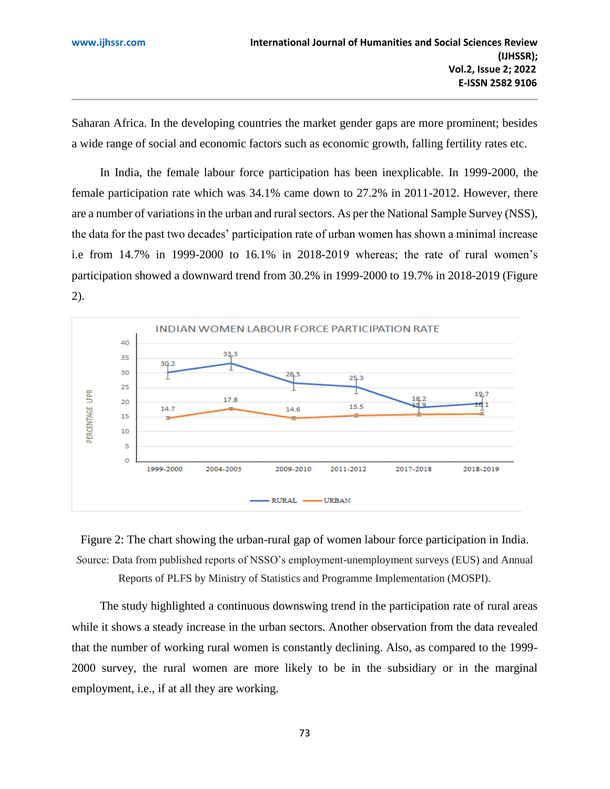Saharan Africa. In the developing countries the market gender gaps are more prominent; besides a wide range of social and economic factors such as economic growth, falling fertility rates etc.

In India, the female labour force participation has been inexplicable. In 1999-2000, the female participation rate which was 34.1% came down to 27.2% in 2011-2012. However, there are a number of variations in the urban and rural sectors. As per the National Sample Survey (NSS), the data for the past two decades' participation rate of urban women has shown a minimal increase i.e from 14.7% in 1999-2000 to 16.1% in 2018-2019 whereas; the rate of rural women's participation showed a downward trend from 30.2% in 1999-2000 to 19.7% in 2018-2019 (Figure 2).





The study highlighted a continuous downswing trend in the participation rate of rural areas while it shows a steady increase in the urban sectors. Another observation from the data revealed that the number of working rural women is constantly declining. Also, as compared to the 1999- 2000 survey, the rural women are more likely to be in the subsidiary or in the marginal

employment, i.e., if at all they are working.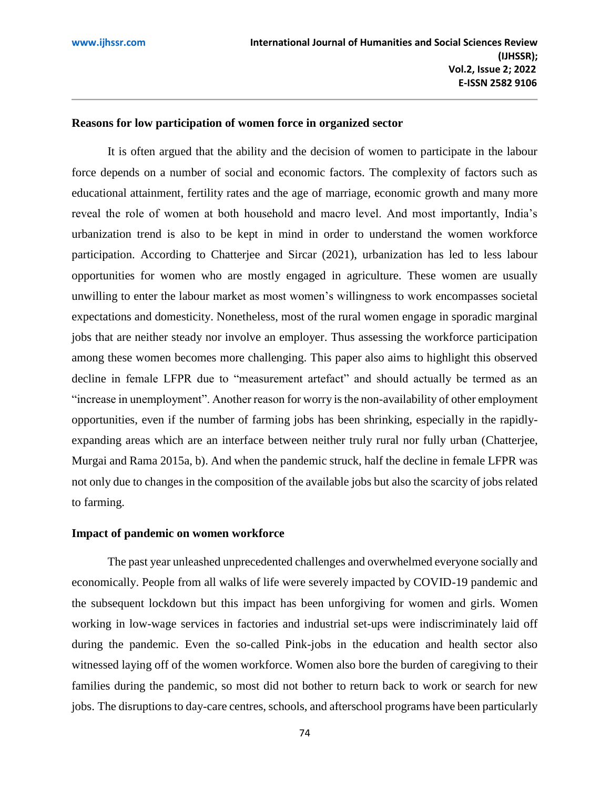# **Reasons for low participation of women force in organized sector**

It is often argued that the ability and the decision of women to participate in the labour force depends on a number of social and economic factors. The complexity of factors such as educational attainment, fertility rates and the age of marriage, economic growth and many more reveal the role of women at both household and macro level. And most importantly, India's urbanization trend is also to be kept in mind in order to understand the women workforce participation. According to Chatterjee and Sircar (2021), urbanization has led to less labour opportunities for women who are mostly engaged in agriculture. These women are usually unwilling to enter the labour market as most women's willingness to work encompasses societal expectations and domesticity. Nonetheless, most of the rural women engage in sporadic marginal jobs that are neither steady nor involve an employer. Thus assessing the workforce participation among these women becomes more challenging. This paper also aims to highlight this observed decline in female LFPR due to "measurement artefact" and should actually be termed as an "increase in unemployment". Another reason for worry is the non-availability of other employment opportunities, even if the number of farming jobs has been shrinking, especially in the rapidlyexpanding areas which are an interface between neither truly rural nor fully urban [\(Chatterjee,](http://www-wds.worldbank.org/external/default/WDSContentServer/WDSP/IB/2015/09/15/090224b0830ddac4/1_0/Rendered/PDF/Job0opportunit0rticipation0in0India.pdf)  [Murgai and Rama 2015a](http://www-wds.worldbank.org/external/default/WDSContentServer/WDSP/IB/2015/09/15/090224b0830ddac4/1_0/Rendered/PDF/Job0opportunit0rticipation0in0India.pdf), b). And when the pandemic struck, half the decline in female LFPR was not only due to changes in the composition of the available jobs but also the scarcity of jobs related to farming.

## **Impact of pandemic on women workforce**

The past year unleashed unprecedented challenges and overwhelmed everyone socially and economically. People from all walks of life were severely impacted by COVID-19 pandemic and the subsequent lockdown but this impact has been unforgiving for women and girls. Women working in low-wage services in factories and industrial set-ups were indiscriminately laid off during the pandemic. Even the so-called Pink-jobs in the education and health sector also witnessed laying off of the women workforce. Women also bore the burden of caregiving to their families during the pandemic, so most did not bother to return back to work or search for new jobs. The disruptions to day-care centres, schools, and afterschool programs have been particularly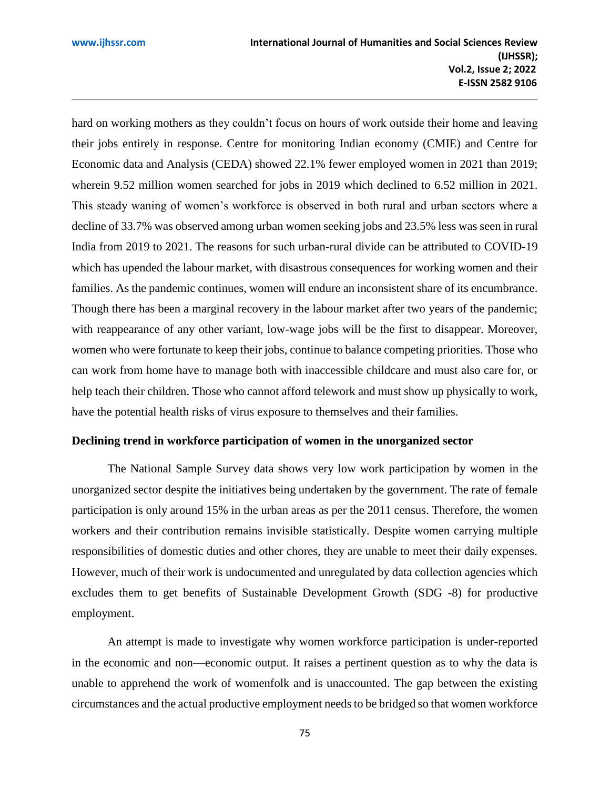hard on working mothers as they couldn't focus on hours of work outside their home and leaving their jobs entirely in response. Centre for monitoring Indian economy (CMIE) and Centre for Economic data and Analysis (CEDA) showed 22.1% fewer employed women in 2021 than 2019; wherein 9.52 million women searched for jobs in 2019 which declined to 6.52 million in 2021. This steady waning of women's workforce is observed in both rural and urban sectors where a decline of 33.7% was observed among urban women seeking jobs and 23.5% less was seen in rural India from 2019 to 2021. The reasons for such urban-rural divide can be attributed to COVID-19 which has upended the labour market, with disastrous consequences for working women and their families. As the pandemic continues, women will endure an inconsistent share of its encumbrance. Though there has been a marginal recovery in the labour market after two years of the pandemic; with reappearance of any other variant, low-wage jobs will be the first to disappear. Moreover, women who were fortunate to keep their jobs, continue to balance competing priorities. Those who can work from home have to manage both with inaccessible childcare and must also care for, or help teach their children. Those who cannot afford telework and must show up physically to work, have the potential health risks of virus exposure to themselves and their families.

## **Declining trend in workforce participation of women in the unorganized sector**

The National Sample Survey data shows very low work participation by women in the unorganized sector despite the initiatives being undertaken by the government. The rate of female participation is only around 15% in the urban areas as per the 2011 census. Therefore, the women workers and their contribution remains invisible statistically. Despite women carrying multiple responsibilities of domestic duties and other chores, they are unable to meet their daily expenses. However, much of their work is undocumented and unregulated by data collection agencies which excludes them to get benefits of Sustainable Development Growth (SDG -8) for productive employment.

An attempt is made to investigate why women workforce participation is under-reported in the economic and non—economic output. It raises a pertinent question as to why the data is unable to apprehend the work of womenfolk and is unaccounted. The gap between the existing circumstances and the actual productive employment needs to be bridged so that women workforce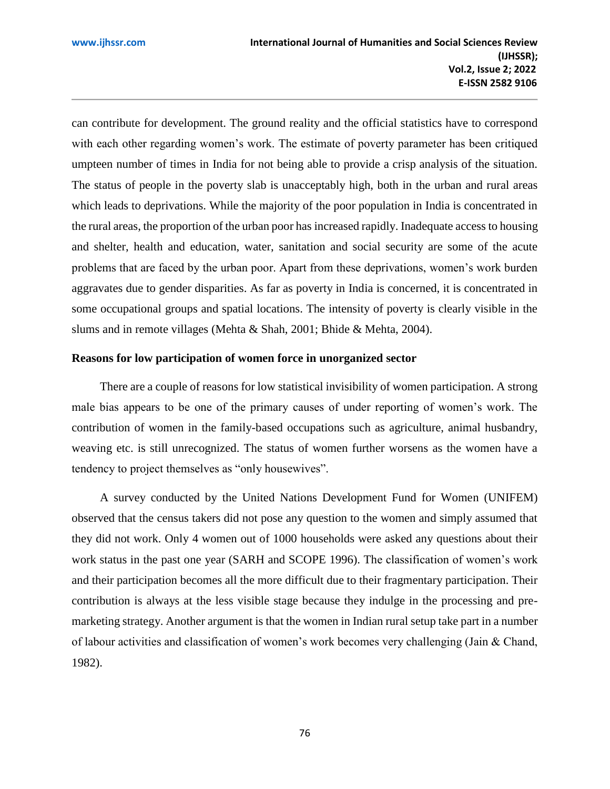can contribute for development. The ground reality and the official statistics have to correspond with each other regarding women's work. The estimate of poverty parameter has been critiqued umpteen number of times in India for not being able to provide a crisp analysis of the situation. The status of people in the poverty slab is unacceptably high, both in the urban and rural areas which leads to deprivations. While the majority of the poor population in India is concentrated in the rural areas, the proportion of the urban poor has increased rapidly. Inadequate access to housing and shelter, health and education, water, sanitation and social security are some of the acute problems that are faced by the urban poor. Apart from these deprivations, women's work burden aggravates due to gender disparities. As far as poverty in India is concerned, it is concentrated in some occupational groups and spatial locations. The intensity of poverty is clearly visible in the slums and in remote villages (Mehta & Shah, 2001; Bhide & Mehta, 2004).

# **Reasons for low participation of women force in unorganized sector**

There are a couple of reasons for low statistical invisibility of women participation. A strong male bias appears to be one of the primary causes of under reporting of women's work. The contribution of women in the family-based occupations such as agriculture, animal husbandry, weaving etc. is still unrecognized. The status of women further worsens as the women have a tendency to project themselves as "only housewives".

A survey conducted by the United Nations Development Fund for Women (UNIFEM) observed that the census takers did not pose any question to the women and simply assumed that they did not work. Only 4 women out of 1000 households were asked any questions about their work status in the past one year (SARH and SCOPE 1996). The classification of women's work and their participation becomes all the more difficult due to their fragmentary participation. Their contribution is always at the less visible stage because they indulge in the processing and premarketing strategy. Another argument is that the women in Indian rural setup take part in a number of labour activities and classification of women's work becomes very challenging (Jain & Chand, 1982).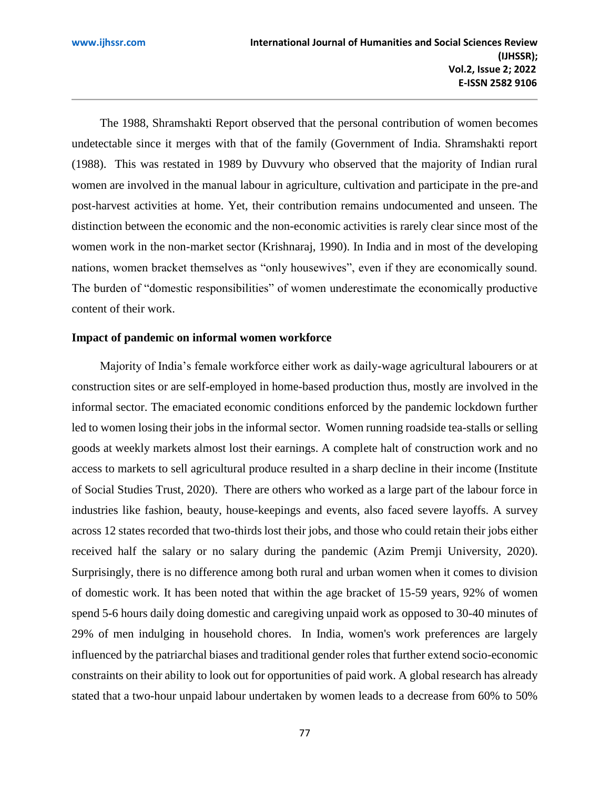The 1988, Shramshakti Report observed that the personal contribution of women becomes undetectable since it merges with that of the family (Government of India. Shramshakti report (1988). This was restated in 1989 by Duvvury who observed that the majority of Indian rural women are involved in the manual labour in agriculture, cultivation and participate in the pre-and post-harvest activities at home. Yet, their contribution remains undocumented and unseen. The distinction between the economic and the non-economic activities is rarely clear since most of the women work in the non-market sector (Krishnaraj, 1990). In India and in most of the developing nations, women bracket themselves as "only housewives", even if they are economically sound. The burden of "domestic responsibilities" of women underestimate the economically productive content of their work.

## **Impact of pandemic on informal women workforce**

Majority of India's female workforce either work as daily-wage agricultural labourers or at construction sites or are self-employed in home-based production thus, mostly are involved in the informal sector. The emaciated economic conditions enforced by the pandemic lockdown further led to women losing their jobs in the informal sector. Women running roadside tea-stalls or selling goods at weekly markets almost lost their earnings. A complete halt of construction work and no access to markets to sell agricultural produce resulted in a sharp decline in their income (Institute of Social Studies Trust, 2020). There are others who worked as a large part of the labour force in industries like fashion, beauty, house-keepings and events, also faced severe layoffs. A survey across 12 states recorded that two-thirds lost their jobs, and those who could retain their jobs either received half the salary or no salary during the pandemic (Azim Premji University, 2020). Surprisingly, there is no difference among both rural and urban women when it comes to division of domestic work. It has been noted that within the age bracket of 15-59 years, 92% of women spend 5-6 hours daily doing domestic and caregiving unpaid work as opposed to 30-40 minutes of 29% of men indulging in household chores. In India, women's work preferences are largely influenced by the patriarchal biases and traditional gender roles that further extend socio-economic constraints on their ability to look out for opportunities of paid work. A global research has already stated that a two-hour unpaid labour undertaken by women leads to a decrease from 60% to 50%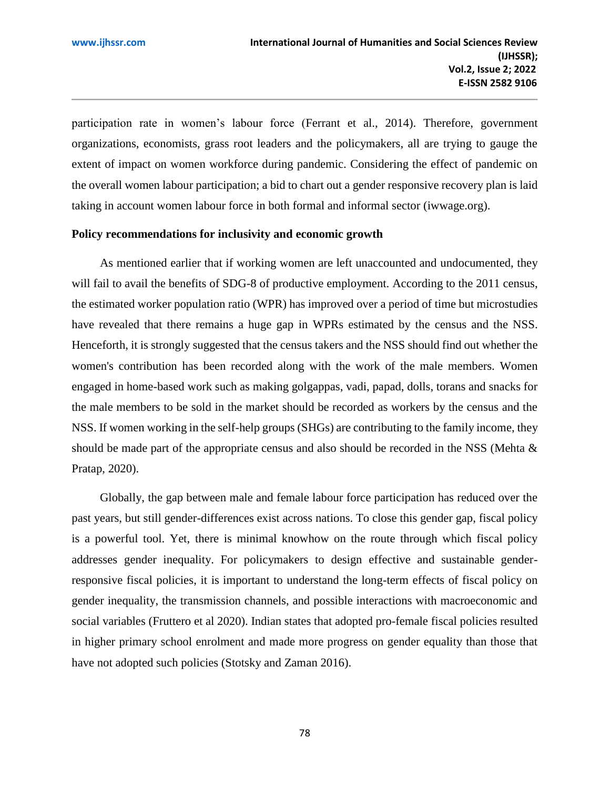participation rate in women's labour force (Ferrant et al., 2014). Therefore, government organizations, economists, grass root leaders and the policymakers, all are trying to gauge the extent of impact on women workforce during pandemic. Considering the effect of pandemic on the overall women labour participation; a bid to chart out a gender responsive recovery plan is laid taking in account women labour force in both formal and informal sector (iwwage.org).

## **Policy recommendations for inclusivity and economic growth**

As mentioned earlier that if working women are left unaccounted and undocumented, they will fail to avail the benefits of SDG-8 of productive employment. According to the 2011 census, the estimated worker population ratio (WPR) has improved over a period of time but microstudies have revealed that there remains a huge gap in WPRs estimated by the census and the NSS. Henceforth, it is strongly suggested that the census takers and the NSS should find out whether the women's contribution has been recorded along with the work of the male members. Women engaged in home-based work such as making golgappas, vadi, papad, dolls, torans and snacks for the male members to be sold in the market should be recorded as workers by the census and the NSS. If women working in the self-help groups (SHGs) are contributing to the family income, they should be made part of the appropriate census and also should be recorded in the NSS (Mehta & Pratap, 2020).

Globally, the gap between male and female labour force participation has reduced over the past years, but still gender-differences exist across nations. To close this gender gap, fiscal policy is a powerful tool. Yet, there is minimal knowhow on the route through which fiscal policy addresses gender inequality. For policymakers to design effective and sustainable genderresponsive fiscal policies, it is important to understand the long-term effects of fiscal policy on gender inequality, the transmission channels, and possible interactions with macroeconomic and social variables (Fruttero et al 2020). Indian states that adopted pro-female fiscal policies resulted in higher primary school enrolment and made more progress on gender equality than those that have not adopted such policies (Stotsky and Zaman 2016).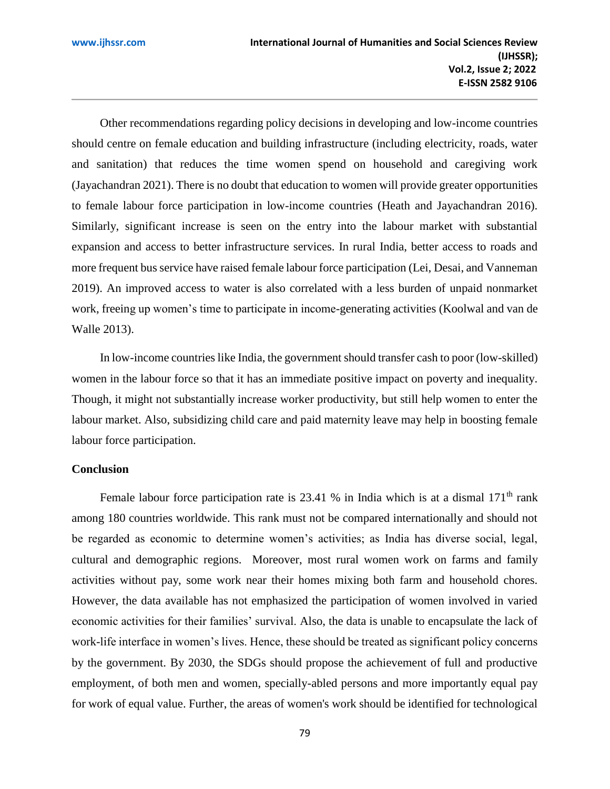Other recommendations regarding policy decisions in developing and low-income countries should centre on female education and building infrastructure (including electricity, roads, water and sanitation) that reduces the time women spend on household and caregiving work (Jayachandran 2021). There is no doubt that education to women will provide greater opportunities to female labour force participation in low-income countries (Heath and Jayachandran 2016). Similarly, significant increase is seen on the entry into the labour market with substantial expansion and access to better infrastructure services. In rural India, better access to roads and more frequent bus service have raised female labour force participation (Lei, Desai, and Vanneman 2019). An improved access to water is also correlated with a less burden of unpaid nonmarket work, freeing up women's time to participate in income-generating activities (Koolwal and van de Walle 2013).

In low-income countries like India, the government should transfer cash to poor (low-skilled) women in the labour force so that it has an immediate positive impact on poverty and inequality. Though, it might not substantially increase worker productivity, but still help women to enter the labour market. Also, subsidizing child care and paid maternity leave may help in boosting female labour force participation.

#### **Conclusion**

Female labour force participation rate is 23.41 % in India which is at a dismal  $171<sup>th</sup>$  rank among 180 countries worldwide. This rank must not be compared internationally and should not be regarded as economic to determine women's activities; as India has diverse social, legal, cultural and demographic regions. Moreover, most rural women work on farms and family activities without pay, some work near their homes mixing both farm and household chores. However, the data available has not emphasized the participation of women involved in varied economic activities for their families' survival. Also, the data is unable to encapsulate the lack of work-life interface in women's lives. Hence, these should be treated as significant policy concerns by the government. By 2030, the SDGs should propose the achievement of full and productive employment, of both men and women, specially-abled persons and more importantly equal pay for work of equal value. Further, the areas of women's work should be identified for technological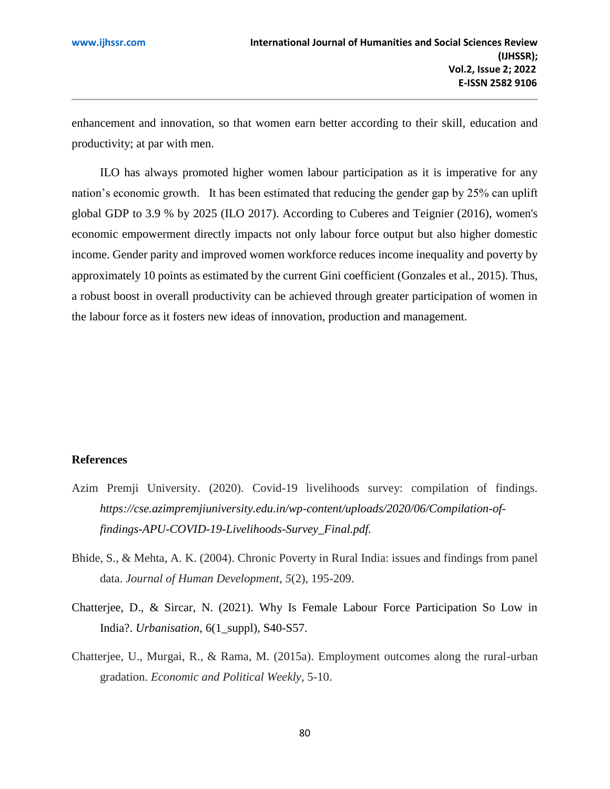enhancement and innovation, so that women earn better according to their skill, education and productivity; at par with men.

ILO has always promoted higher women labour participation as it is imperative for any nation's economic growth. It has been estimated that reducing the gender gap by 25% can uplift global GDP to 3.9 % by 2025 (ILO 2017). According to Cuberes and Teignier (2016), women's economic empowerment directly impacts not only labour force output but also higher domestic income. Gender parity and improved women workforce reduces income inequality and poverty by approximately 10 points as estimated by the current Gini coefficient (Gonzales et al., 2015). Thus, a robust boost in overall productivity can be achieved through greater participation of women in the labour force as it fosters new ideas of innovation, production and management.

# **References**

- Azim Premji University. (2020). Covid-19 livelihoods survey: compilation of findings. *https://cse.azimpremjiuniversity.edu.in/wp-content/uploads/2020/06/Compilation-offindings-APU-COVID-19-Livelihoods-Survey\_Final.pdf.*
- Bhide, S., & Mehta, A. K. (2004). Chronic Poverty in Rural India: issues and findings from panel data. *Journal of Human Development*, *5*(2), 195-209.
- Chatterjee, D., & Sircar, N. (2021). Why Is Female Labour Force Participation So Low in India?. *Urbanisation*, 6(1\_suppl), S40-S57.
- Chatterjee, U., Murgai, R., & Rama, M. (2015a). Employment outcomes along the rural-urban gradation. *Economic and Political Weekly*, 5-10.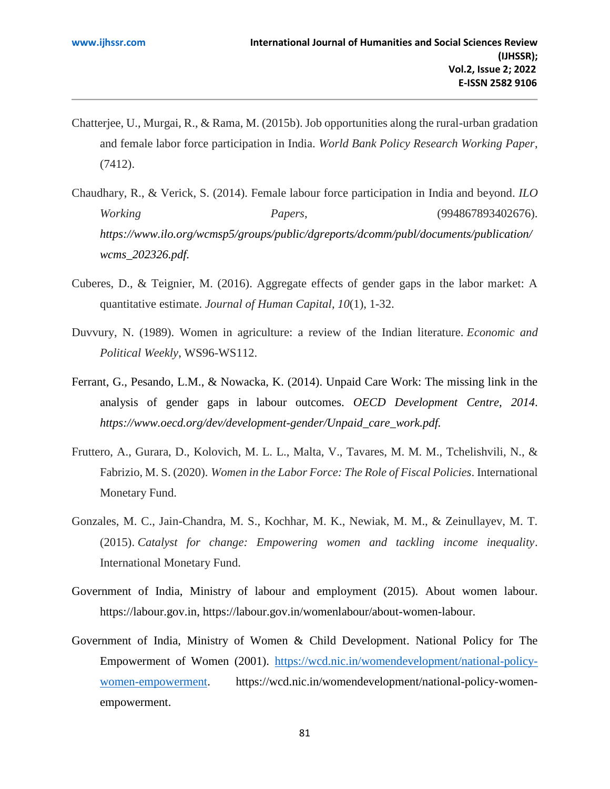- Chatterjee, U., Murgai, R., & Rama, M. (2015b). Job opportunities along the rural-urban gradation and female labor force participation in India. *World Bank Policy Research Working Paper*, (7412).
- Chaudhary, R., & Verick, S. (2014). Female labour force participation in India and beyond. *ILO Working Papers*, (994867893402676). *https://www.ilo.org/wcmsp5/groups/public/dgreports/dcomm/publ/documents/publication/ wcms\_202326.pdf.*
- Cuberes, D., & Teignier, M. (2016). Aggregate effects of gender gaps in the labor market: A quantitative estimate. *Journal of Human Capital*, *10*(1), 1-32.
- Duvvury, N. (1989). Women in agriculture: a review of the Indian literature. *Economic and Political Weekly*, WS96-WS112.
- Ferrant, G., Pesando, L.M., & Nowacka, K. (2014). Unpaid Care Work: The missing link in the analysis of gender gaps in labour outcomes. *OECD Development Centre, 2014*. *https://www.oecd.org/dev/development-gender/Unpaid\_care\_work.pdf.*
- Fruttero, A., Gurara, D., Kolovich, M. L. L., Malta, V., Tavares, M. M. M., Tchelishvili, N., & Fabrizio, M. S. (2020). *Women in the Labor Force: The Role of Fiscal Policies*. International Monetary Fund.
- Gonzales, M. C., Jain-Chandra, M. S., Kochhar, M. K., Newiak, M. M., & Zeinullayev, M. T. (2015). *Catalyst for change: Empowering women and tackling income inequality*. International Monetary Fund.
- Government of India, Ministry of labour and employment (2015). About women labour. [https://labour.gov.in,](https://labour.gov.in/) [https://labour.gov.in/womenlabour/about-women-labour.](https://labour.gov.in/womenlabour/about-women-labour)
- Government of India, [Ministry of Women & Child Development.](https://wcd.nic.in/) National Policy for The Empowerment of Women (2001). [https://wcd.nic.in/womendevelopment/national-policy](https://wcd.nic.in/womendevelopment/national-policy-women-empowerment)[women-empowerment.](https://wcd.nic.in/womendevelopment/national-policy-women-empowerment) [https://wcd.nic.in/womendevelopment/national-policy-women](https://wcd.nic.in/womendevelopment/national-policy-women-empowerment)[empowerment.](https://wcd.nic.in/womendevelopment/national-policy-women-empowerment)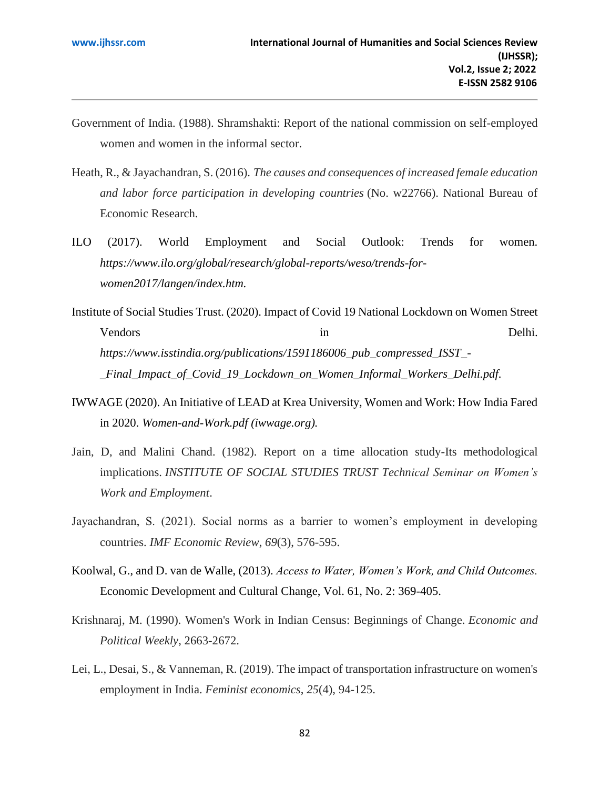- Government of India. (1988). Shramshakti: Report of the national commission on self-employed women and women in the informal sector.
- Heath, R., & Jayachandran, S. (2016). *The causes and consequences of increased female education and labor force participation in developing countries* (No. w22766). National Bureau of Economic Research.
- ILO (2017). World Employment and Social Outlook: Trends for women. *https://www.ilo.org/global/research/global-reports/weso/trends-forwomen2017/langen/index.htm.*
- Institute of Social Studies Trust. (2020). Impact of Covid 19 National Lockdown on Women Street Vendors in Delhi. *[https://www.isstindia.org/publications/1591186006\\_pub\\_compressed\\_ISST\\_-](https://www.isstindia.org/publications/1591186006_pub_compressed_ISST_-_Final_Impact_of_Covid_19_Lockdown_on_Women_Informal_Workers_Delhi.pdf) [\\_Final\\_Impact\\_of\\_Covid\\_19\\_Lockdown\\_on\\_Women\\_Informal\\_Workers\\_Delhi.pdf.](https://www.isstindia.org/publications/1591186006_pub_compressed_ISST_-_Final_Impact_of_Covid_19_Lockdown_on_Women_Informal_Workers_Delhi.pdf)*
- IWWAGE (2020). An Initiative of LEAD at Krea University, Women and Work: How India Fared in 2020. *[Women-and-Work.pdf \(iwwage.org\).](https://iwwage.org/wp-content/uploads/2021/01/Women-and-Work.pdf)*
- Jain, D, and Malini Chand. (1982). Report on a time allocation study-Its methodological implications. *INSTITUTE OF SOCIAL STUDIES TRUST Technical Seminar on Women's Work and Employment*.
- Jayachandran, S. (2021). Social norms as a barrier to women's employment in developing countries. *IMF Economic Review*, *69*(3), 576-595.
- Koolwal, G., and D. van de Walle, (2013). *Access to Water, Women's Work, and Child Outcomes.*  Economic Development and Cultural Change, Vol. 61, No. 2: 369-405.
- Krishnaraj, M. (1990). Women's Work in Indian Census: Beginnings of Change. *Economic and Political Weekly*, 2663-2672.
- Lei, L., Desai, S., & Vanneman, R. (2019). The impact of transportation infrastructure on women's employment in India. *Feminist economics*, *25*(4), 94-125.